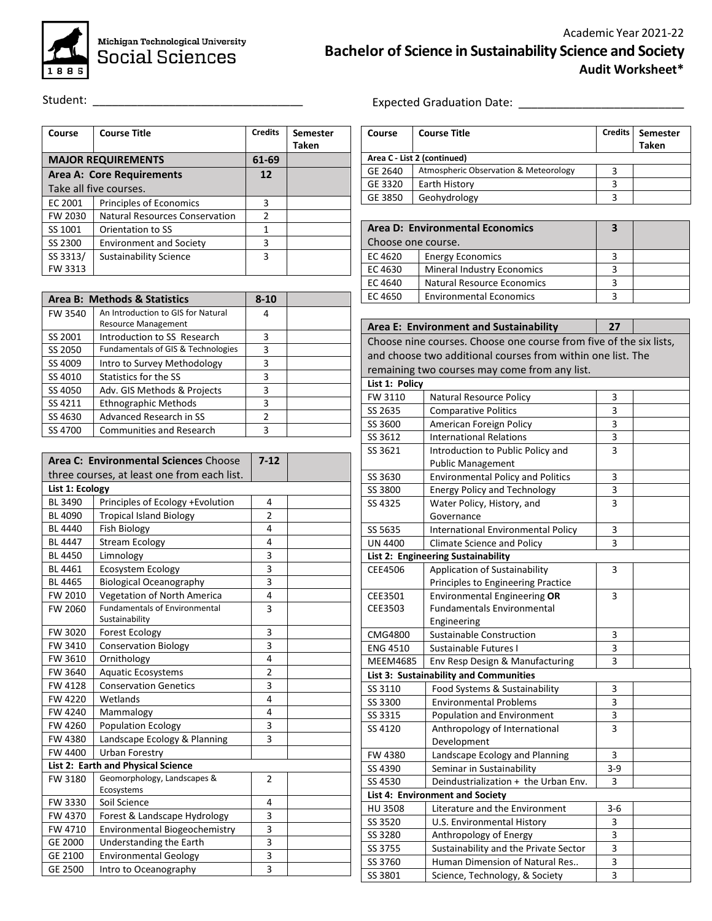

Michigan Technological University<br>Social Sciences

Student: \_\_\_\_\_\_\_\_\_\_\_\_\_\_\_\_\_\_\_\_\_\_\_\_\_\_\_\_\_\_\_\_\_

| Course                    | <b>Course Title</b>            | <b>Credits</b> | <b>Semester</b><br>Taken |
|---------------------------|--------------------------------|----------------|--------------------------|
| <b>MAJOR REQUIREMENTS</b> |                                | 61-69          |                          |
| Area A: Core Requirements |                                | 12             |                          |
|                           | Take all five courses.         |                |                          |
| EC 2001                   | Principles of Economics        | з              |                          |
| FW 2030                   | Natural Resources Conservation | $\mathcal{P}$  |                          |
| SS 1001                   | Orientation to SS              | 1              |                          |
| SS 2300                   | <b>Environment and Society</b> | 3              |                          |
| SS 3313/                  | Sustainability Science         | 3              |                          |
| FW 3313                   |                                |                |                          |

|         | Area B: Methods & Statistics                  | $8 - 10$      |  |
|---------|-----------------------------------------------|---------------|--|
| FW 3540 | An Introduction to GIS for Natural            | 4             |  |
|         | <b>Resource Management</b>                    |               |  |
| SS 2001 | Introduction to SS Research                   | 3             |  |
| SS 2050 | <b>Fundamentals of GIS &amp; Technologies</b> | 3             |  |
| SS 4009 | Intro to Survey Methodology                   | 3             |  |
| SS 4010 | Statistics for the SS                         | 3             |  |
| SS 4050 | Adv. GIS Methods & Projects                   | 3             |  |
| SS 4211 | <b>Ethnographic Methods</b>                   | 3             |  |
| SS 4630 | <b>Advanced Research in SS</b>                | $\mathcal{P}$ |  |
| SS 4700 | Communities and Research                      | 3             |  |

|                 | Area C: Environmental Sciences Choose       | $7-12$         |  |
|-----------------|---------------------------------------------|----------------|--|
|                 | three courses, at least one from each list. |                |  |
| List 1: Ecology |                                             |                |  |
| BL 3490         | Principles of Ecology +Evolution            | 4              |  |
| BL 4090         | <b>Tropical Island Biology</b>              | $\overline{2}$ |  |
| <b>BL 4440</b>  | <b>Fish Biology</b>                         | 4              |  |
| BL 4447         | <b>Stream Ecology</b>                       | 4              |  |
| <b>BL 4450</b>  | Limnology                                   | 3              |  |
| BL 4461         | <b>Ecosystem Ecology</b>                    | 3              |  |
| <b>BL 4465</b>  | <b>Biological Oceanography</b>              | 3              |  |
| FW 2010         | Vegetation of North America                 | 4              |  |
| FW 2060         | <b>Fundamentals of Environmental</b>        | 3              |  |
|                 | Sustainability                              |                |  |
| FW 3020         | Forest Ecology                              | 3              |  |
| FW 3410         | <b>Conservation Biology</b>                 | 3              |  |
| FW 3610         | Ornithology                                 | 4              |  |
| FW 3640         | Aquatic Ecosystems                          | $\overline{2}$ |  |
| FW 4128         | <b>Conservation Genetics</b>                | 3              |  |
| FW 4220         | Wetlands                                    | 4              |  |
| FW 4240         | Mammalogy                                   | 4              |  |
| FW 4260         | <b>Population Ecology</b>                   | 3              |  |
| FW 4380         | Landscape Ecology & Planning                | 3              |  |
| FW 4400         | Urban Forestry                              |                |  |
|                 | List 2: Earth and Physical Science          |                |  |
| FW 3180         | Geomorphology, Landscapes &                 | $\overline{2}$ |  |
|                 | Ecosystems                                  |                |  |
| FW 3330         | Soil Science                                | 4              |  |
| FW 4370         | Forest & Landscape Hydrology                | 3              |  |
| FW 4710         | Environmental Biogeochemistry               | 3              |  |
| GE 2000         | Understanding the Earth                     | 3              |  |
| GE 2100         | <b>Environmental Geology</b>                | 3              |  |
| GE 2500         | Intro to Oceanography                       | 3              |  |

Expected Graduation Date: \_\_\_\_\_\_\_\_\_\_\_\_\_\_\_\_\_\_\_\_\_\_\_\_\_\_

| Course                      | <b>Course Title</b>                   | <b>Credits</b> | Semester<br>Taken |
|-----------------------------|---------------------------------------|----------------|-------------------|
| Area C - List 2 (continued) |                                       |                |                   |
| GE 2640                     | Atmospheric Observation & Meteorology |                |                   |
| GE 3320                     | Earth History                         | ঽ              |                   |
| GE 3850                     | Geohydrology                          | 2              |                   |

| Area D: Environmental Economics |                                   | з |  |
|---------------------------------|-----------------------------------|---|--|
| Choose one course.              |                                   |   |  |
| EC 4620                         | <b>Energy Economics</b>           |   |  |
| EC 4630                         | <b>Mineral Industry Economics</b> |   |  |
| EC 4640                         | <b>Natural Resource Economics</b> |   |  |
| EC 4650                         | <b>Environmental Economics</b>    |   |  |

|                                                                    | Area E: Environment and Sustainability                      | 27             |  |  |  |
|--------------------------------------------------------------------|-------------------------------------------------------------|----------------|--|--|--|
| Choose nine courses. Choose one course from five of the six lists, |                                                             |                |  |  |  |
|                                                                    | and choose two additional courses from within one list. The |                |  |  |  |
|                                                                    | remaining two courses may come from any list.               |                |  |  |  |
| List 1: Policy                                                     |                                                             |                |  |  |  |
| FW 3110                                                            | Natural Resource Policy                                     | 3              |  |  |  |
| SS 2635                                                            | <b>Comparative Politics</b>                                 | 3              |  |  |  |
| SS 3600                                                            | American Foreign Policy                                     | 3              |  |  |  |
| SS 3612                                                            | <b>International Relations</b>                              | 3              |  |  |  |
| SS 3621                                                            | Introduction to Public Policy and                           | 3              |  |  |  |
|                                                                    | <b>Public Management</b>                                    |                |  |  |  |
| SS 3630                                                            | <b>Environmental Policy and Politics</b>                    | 3              |  |  |  |
| SS 3800                                                            | <b>Energy Policy and Technology</b>                         | 3              |  |  |  |
| SS 4325                                                            | Water Policy, History, and                                  | 3              |  |  |  |
|                                                                    | Governance                                                  |                |  |  |  |
| SS 5635                                                            | <b>International Environmental Policy</b>                   | 3              |  |  |  |
| <b>UN 4400</b>                                                     | <b>Climate Science and Policy</b>                           | $\overline{3}$ |  |  |  |
|                                                                    | List 2: Engineering Sustainability                          |                |  |  |  |
| CEE4506                                                            | Application of Sustainability                               | 3              |  |  |  |
|                                                                    | Principles to Engineering Practice                          |                |  |  |  |
| CEE3501                                                            | Environmental Engineering OR                                | 3              |  |  |  |
| CEE3503                                                            | <b>Fundamentals Environmental</b>                           |                |  |  |  |
|                                                                    | Engineering                                                 |                |  |  |  |
| CMG4800                                                            | <b>Sustainable Construction</b>                             | 3              |  |  |  |
| <b>ENG 4510</b>                                                    | Sustainable Futures I                                       | 3              |  |  |  |
| <b>MEEM4685</b>                                                    | Env Resp Design & Manufacturing                             | 3              |  |  |  |
|                                                                    | List 3: Sustainability and Communities                      |                |  |  |  |
| SS 3110                                                            | Food Systems & Sustainability                               | 3              |  |  |  |
| SS 3300                                                            | <b>Environmental Problems</b>                               | 3              |  |  |  |
| SS 3315                                                            | Population and Environment                                  | 3              |  |  |  |
| SS 4120                                                            | Anthropology of International                               | 3              |  |  |  |
|                                                                    | Development                                                 |                |  |  |  |
| FW 4380                                                            | Landscape Ecology and Planning                              | 3              |  |  |  |
| SS 4390                                                            | Seminar in Sustainability                                   | $3 - 9$        |  |  |  |
| SS 4530                                                            | Deindustrialization + the Urban Env.                        | 3              |  |  |  |
|                                                                    | List 4: Environment and Society                             |                |  |  |  |
| <b>HU 3508</b>                                                     | Literature and the Environment                              | $3 - 6$        |  |  |  |
| SS 3520                                                            | U.S. Environmental History                                  | 3              |  |  |  |
| SS 3280                                                            | Anthropology of Energy                                      | 3              |  |  |  |
| SS 3755                                                            | Sustainability and the Private Sector                       | 3              |  |  |  |
| SS 3760                                                            | Human Dimension of Natural Res                              | 3              |  |  |  |
| SS 3801                                                            | Science, Technology, & Society                              | 3              |  |  |  |